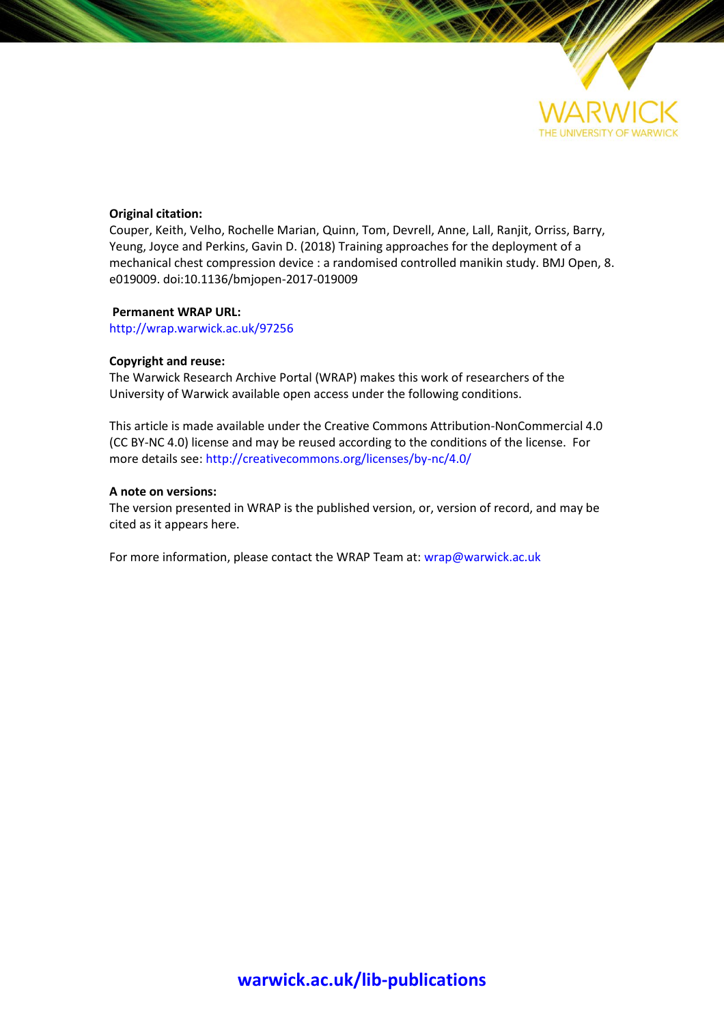

# **Original citation:**

Couper, Keith, Velho, Rochelle Marian, Quinn, Tom, Devrell, Anne, Lall, Ranjit, Orriss, Barry, Yeung, Joyce and Perkins, Gavin D. (2018) Training approaches for the deployment of a mechanical chest compression device : a randomised controlled manikin study. BMJ Open, 8. e019009. doi:10.1136/bmjopen-2017-019009

# **Permanent WRAP URL:**

<http://wrap.warwick.ac.uk/97256>

# **Copyright and reuse:**

The Warwick Research Archive Portal (WRAP) makes this work of researchers of the University of Warwick available open access under the following conditions.

This article is made available under the Creative Commons Attribution-NonCommercial 4.0 (CC BY-NC 4.0) license and may be reused according to the conditions of the license. For more details see:<http://creativecommons.org/licenses/by-nc/4.0/>

## **A note on versions:**

The version presented in WRAP is the published version, or, version of record, and may be cited as it appears here.

For more information, please contact the WRAP Team at[: wrap@warwick.ac.uk](mailto:wrap@warwick.ac.uk)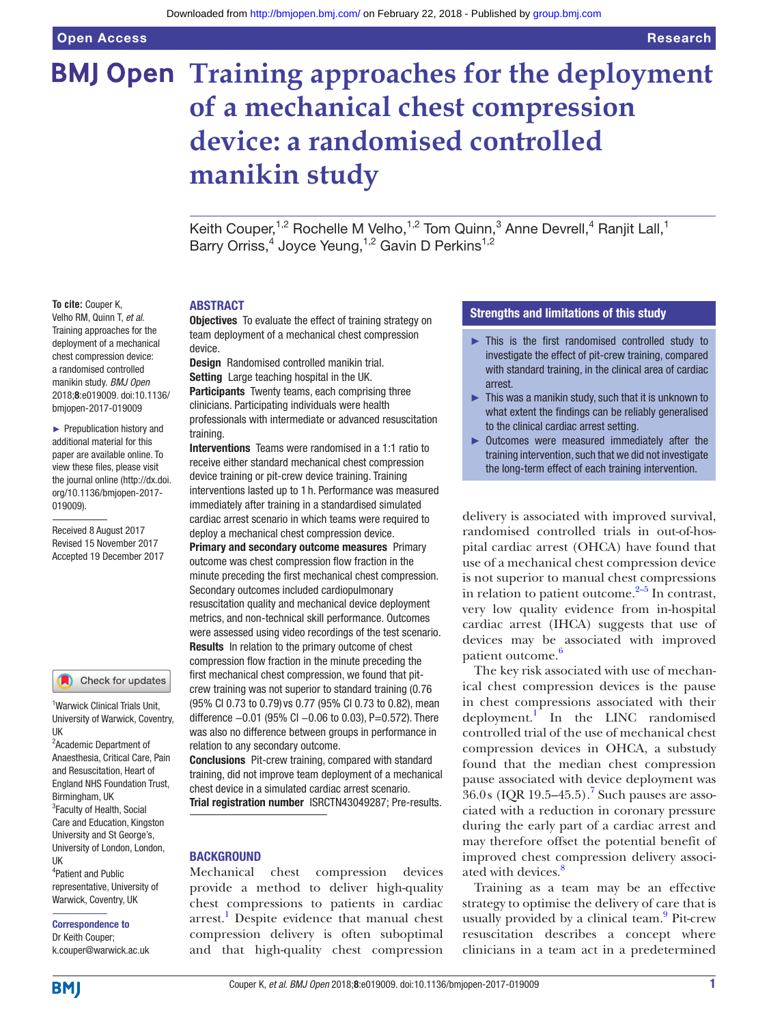# **BMJ Open Training approaches for the deployment of a mechanical chest compression device: a randomised controlled manikin study**

Keith Couper,<sup>1,2</sup> Rochelle M Velho,<sup>1,2</sup> Tom Quinn,<sup>3</sup> Anne Devrell,<sup>4</sup> Ranjit Lall,<sup>1</sup> Barry Orriss,<sup>4</sup> Joyce Yeung,<sup>1,2</sup> Gavin D Perkins<sup>1,2</sup>

#### **ABSTRACT**

**Objectives** To evaluate the effect of training strategy on team deployment of a mechanical chest compression device. Design Randomised controlled manikin trial.

Setting Large teaching hospital in the UK. Participants Twenty teams, each comprising three clinicians. Participating individuals were health professionals with intermediate or advanced resuscitation

training. Interventions Teams were randomised in a 1:1 ratio to receive either standard mechanical chest compression device training or pit-crew device training. Training interventions lasted up to 1 h. Performance was measured immediately after training in a standardised simulated cardiac arrest scenario in which teams were required to deploy a mechanical chest compression device. Primary and secondary outcome measures Primary outcome was chest compression flow fraction in the minute preceding the first mechanical chest compression. Secondary outcomes included cardiopulmonary resuscitation quality and mechanical device deployment metrics, and non-technical skill performance. Outcomes were assessed using video recordings of the test scenario. Results In relation to the primary outcome of chest compression flow fraction in the minute preceding the first mechanical chest compression, we found that pitcrew training was not superior to standard training (0.76 (95% CI 0.73 to 0.79) vs 0.77 (95% CI 0.73 to 0.82), mean difference −0.01 (95% CI −0.06 to 0.03), P=0.572). There was also no difference between groups in performance in relation to any secondary outcome.

Conclusions Pit-crew training, compared with standard training, did not improve team deployment of a mechanical chest device in a simulated cardiac arrest scenario. Trial registration number ISRCTN43049287; Pre-results.

#### **BACKGROUND**

Mechanical chest compression devices provide a method to deliver high-quality chest compressions to patients in cardiac arrest.<sup>1</sup> Despite evidence that manual chest compression delivery is often suboptimal and that high-quality chest compression

# Strengths and limitations of this study

- ► This is the first randomised controlled study to investigate the effect of pit-crew training, compared with standard training, in the clinical area of cardiac arrest.
- ► This was a manikin study, such that it is unknown to what extent the findings can be reliably generalised to the clinical cardiac arrest setting.
- ► Outcomes were measured immediately after the training intervention, such that we did not investigate the long-term effect of each training intervention.

delivery is associated with improved survival, randomised controlled trials in out-of-hospital cardiac arrest (OHCA) have found that use of a mechanical chest compression device is not superior to manual chest compressions in relation to patient outcome. $2-5$  In contrast, very low quality evidence from in-hospital cardiac arrest (IHCA) suggests that use of devices may be associated with improved patient outcome.<sup>[6](#page-7-2)</sup>

The key risk associated with use of mechanical chest compression devices is the pause in chest compressions associated with their deployment.<sup>[1](#page-7-0)</sup> In the LINC randomised controlled trial of the use of mechanical chest compression devices in OHCA, a substudy found that the median chest compression pause associated with device deployment was  $36.0 s$  (IQR 19.5–45.5).<sup>7</sup> Such pauses are associated with a reduction in coronary pressure during the early part of a cardiac arrest and may therefore offset the potential benefit of improved chest compression delivery associated with devices.<sup>8</sup>

Training as a team may be an effective strategy to optimise the delivery of care that is usually provided by a clinical team.<sup>[9](#page-7-5)</sup> Pit-crew resuscitation describes a concept where clinicians in a team act in a predetermined

**To cite:** Couper K, Velho RM, Quinn T, *et al*. Training approaches for the deployment of a mechanical chest compression device: a randomised controlled manikin study. *BMJ Open* 2018;8:e019009. doi:10.1136/ bmjopen-2017-019009

► Prepublication history and additional material for this paper are available online. To view these files, please visit the journal online [\(http://dx.doi.](http://dx.doi.org/10.1136/bmjopen-2017-019009) [org/10.1136/bmjopen-2017-](http://dx.doi.org/10.1136/bmjopen-2017-019009) [019009\)](http://dx.doi.org/10.1136/bmjopen-2017-019009).

Received 8 August 2017 Revised 15 November 2017 Accepted 19 December 2017



<sup>1</sup>Warwick Clinical Trials Unit, University of Warwick, Coventry, UK

<sup>2</sup> Academic Department of Anaesthesia, Critical Care, Pain and Resuscitation, Heart of England NHS Foundation Trust, Birmingham, UK <sup>3</sup> Faculty of Health, Social Care and Education, Kingston University and St George's, University of London, London, UK

4 Patient and Public representative, University of Warwick, Coventry, UK

#### Correspondence to Dr Keith Couper; k.couper@warwick.ac.uk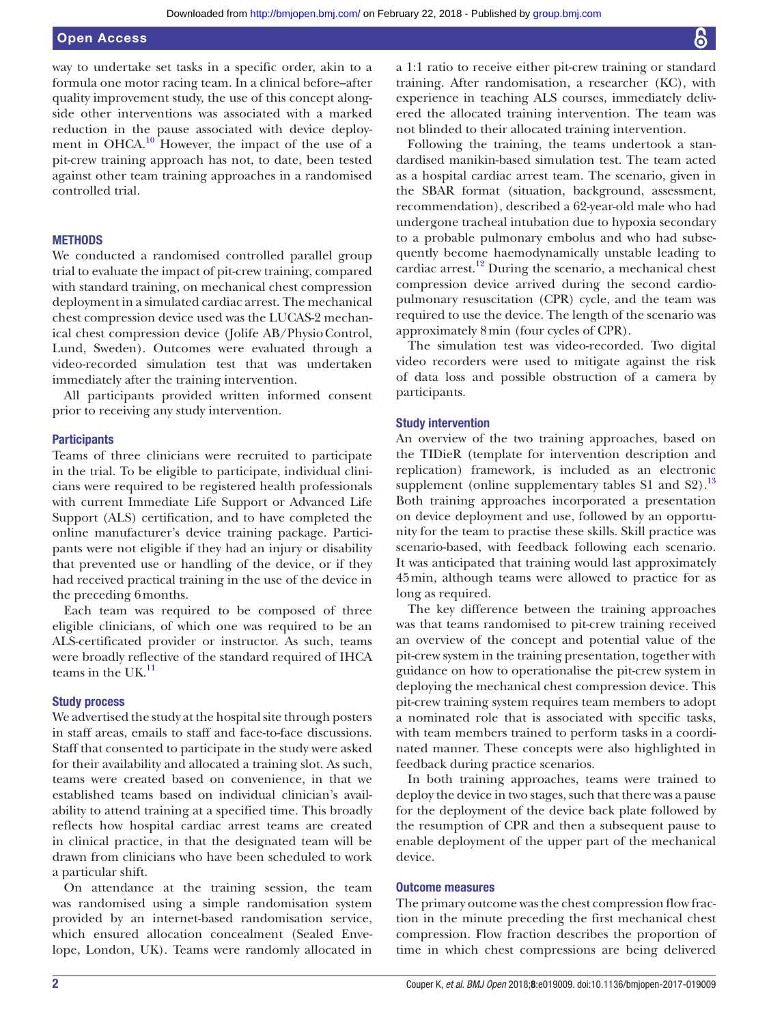way to undertake set tasks in a specific order, akin to a formula one motor racing team. In a clinical before–after quality improvement study, the use of this concept alongside other interventions was associated with a marked reduction in the pause associated with device deployment in OHCA.<sup>10</sup> However, the impact of the use of a pit-crew training approach has not, to date, been tested against other team training approaches in a randomised controlled trial.

#### **METHODS**

We conducted a randomised controlled parallel group trial to evaluate the impact of pit-crew training, compared with standard training, on mechanical chest compression deployment in a simulated cardiac arrest. The mechanical chest compression device used was the LUCAS-2 mechanical chest compression device (Jolife AB/PhysioControl, Lund, Sweden). Outcomes were evaluated through a video-recorded simulation test that was undertaken immediately after the training intervention.

All participants provided written informed consent prior to receiving any study intervention.

#### **Participants**

Teams of three clinicians were recruited to participate in the trial. To be eligible to participate, individual clinicians were required to be registered health professionals with current Immediate Life Support or Advanced Life Support (ALS) certification, and to have completed the online manufacturer's device training package. Participants were not eligible if they had an injury or disability that prevented use or handling of the device, or if they had received practical training in the use of the device in the preceding 6months.

Each team was required to be composed of three eligible clinicians, of which one was required to be an ALS-certificated provider or instructor. As such, teams were broadly reflective of the standard required of IHCA teams in the UK. $<sup>11</sup>$ </sup>

#### Study process

We advertised the study at the hospital site through posters in staff areas, emails to staff and face-to-face discussions. Staff that consented to participate in the study were asked for their availability and allocated a training slot. As such, teams were created based on convenience, in that we established teams based on individual clinician's availability to attend training at a specified time. This broadly reflects how hospital cardiac arrest teams are created in clinical practice, in that the designated team will be drawn from clinicians who have been scheduled to work a particular shift.

On attendance at the training session, the team was randomised using a simple randomisation system provided by an internet-based randomisation service, which ensured allocation concealment (Sealed Envelope, London, UK). Teams were randomly allocated in a 1:1 ratio to receive either pit-crew training or standard training. After randomisation, a researcher (KC), with experience in teaching ALS courses, immediately delivered the allocated training intervention. The team was not blinded to their allocated training intervention.

Following the training, the teams undertook a standardised manikin-based simulation test. The team acted as a hospital cardiac arrest team. The scenario, given in the SBAR format (situation, background, assessment, recommendation), described a 62-year-old male who had undergone tracheal intubation due to hypoxia secondary to a probable pulmonary embolus and who had subsequently become haemodynamically unstable leading to cardiac arrest.<sup>12</sup> During the scenario, a mechanical chest compression device arrived during the second cardiopulmonary resuscitation (CPR) cycle, and the team was required to use the device. The length of the scenario was approximately 8min (four cycles of CPR).

The simulation test was video-recorded. Two digital video recorders were used to mitigate against the risk of data loss and possible obstruction of a camera by participants.

#### Study intervention

An overview of the two training approaches, based on the TIDieR (template for intervention description and replication) framework, is included as an electronic supplement (online [supplementary tables S1 and S2\)](https://dx.doi.org/10.1136/bmjopen-2017-019009).<sup>[13](#page-7-9)</sup> Both training approaches incorporated a presentation on device deployment and use, followed by an opportunity for the team to practise these skills. Skill practice was scenario-based, with feedback following each scenario. It was anticipated that training would last approximately 45min, although teams were allowed to practice for as long as required.

The key difference between the training approaches was that teams randomised to pit-crew training received an overview of the concept and potential value of the pit-crew system in the training presentation, together with guidance on how to operationalise the pit-crew system in deploying the mechanical chest compression device. This pit-crew training system requires team members to adopt a nominated role that is associated with specific tasks, with team members trained to perform tasks in a coordinated manner. These concepts were also highlighted in feedback during practice scenarios.

In both training approaches, teams were trained to deploy the device in two stages, such that there was a pause for the deployment of the device back plate followed by the resumption of CPR and then a subsequent pause to enable deployment of the upper part of the mechanical device.

#### Outcome measures

The primary outcome was the chest compression flow fraction in the minute preceding the first mechanical chest compression. Flow fraction describes the proportion of time in which chest compressions are being delivered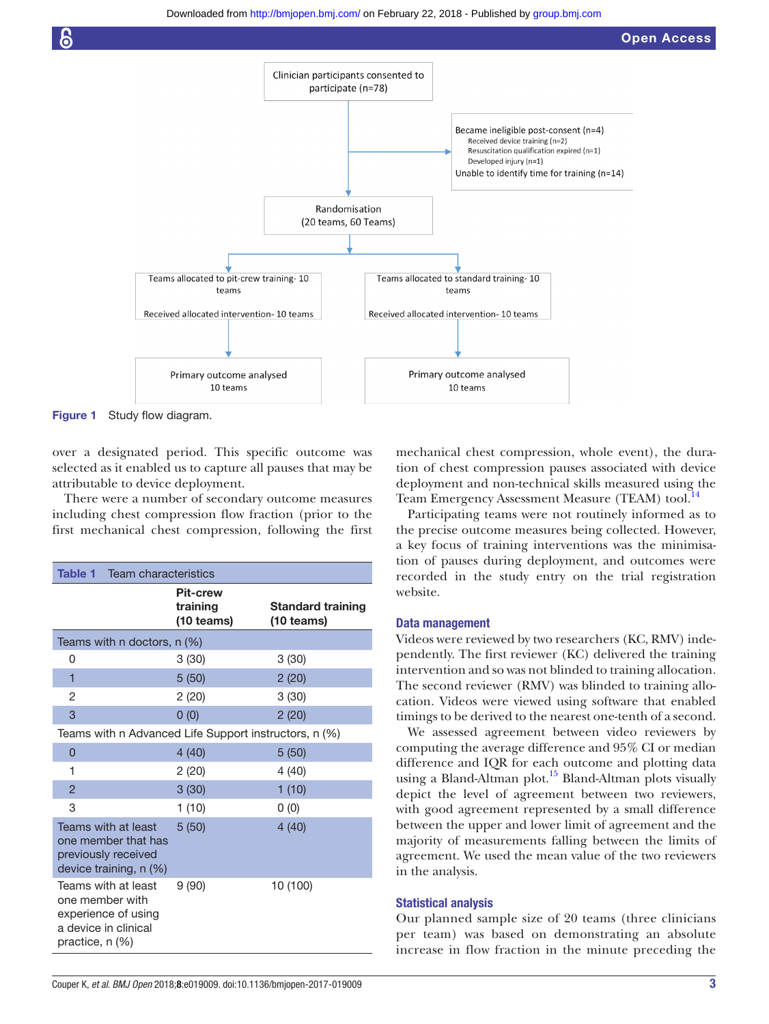



<span id="page-3-0"></span>Figure 1 Study flow diagram.

over a designated period. This specific outcome was selected as it enabled us to capture all pauses that may be attributable to device deployment.

There were a number of secondary outcome measures including chest compression flow fraction (prior to the first mechanical chest compression, following the first

<span id="page-3-1"></span>

| <b>Table 1</b> Team characteristics                                                                      |                                           |                                                  |
|----------------------------------------------------------------------------------------------------------|-------------------------------------------|--------------------------------------------------|
|                                                                                                          | <b>Pit-crew</b><br>training<br>(10 teams) | <b>Standard training</b><br>$(10 \text{ teams})$ |
| Teams with n doctors, $n$ (%)                                                                            |                                           |                                                  |
| 0                                                                                                        | 3 (30)                                    | 3(30)                                            |
| 1                                                                                                        | 5(50)                                     | 2(20)                                            |
| 2                                                                                                        | 2(20)                                     | 3(30)                                            |
| 3                                                                                                        | 0(0)                                      | 2(20)                                            |
| Teams with n Advanced Life Support instructors, n (%)                                                    |                                           |                                                  |
| 0                                                                                                        | 4 (40)                                    | 5(50)                                            |
| 1                                                                                                        | 2(20)                                     | 4 (40)                                           |
| $\mathcal{P}$                                                                                            | 3(30)                                     | 1(10)                                            |
| 3                                                                                                        | 1 (10)                                    | 0(0)                                             |
| Teams with at least<br>one member that has<br>previously received<br>device training, n (%)              | 5(50)                                     | 4(40)                                            |
| Teams with at least<br>one member with<br>experience of using<br>a device in clinical<br>practice, n (%) | 9(90)                                     | 10 (100)                                         |

mechanical chest compression, whole event), the duration of chest compression pauses associated with device deployment and non-technical skills measured using the Team Emergency Assessment Measure (TEAM) tool.<sup>14</sup>

Participating teams were not routinely informed as to the precise outcome measures being collected. However, a key focus of training interventions was the minimisation of pauses during deployment, and outcomes were recorded in the study entry on the trial registration website.

#### Data management

Videos were reviewed by two researchers (KC, RMV) independently. The first reviewer (KC) delivered the training intervention and so was not blinded to training allocation. The second reviewer (RMV) was blinded to training allocation. Videos were viewed using software that enabled timings to be derived to the nearest one-tenth of a second.

We assessed agreement between video reviewers by computing the average difference and 95% CI or median difference and IQR for each outcome and plotting data using a Bland-Altman plot.<sup>15</sup> Bland-Altman plots visually depict the level of agreement between two reviewers, with good agreement represented by a small difference between the upper and lower limit of agreement and the majority of measurements falling between the limits of agreement. We used the mean value of the two reviewers in the analysis.

#### Statistical analysis

Our planned sample size of 20 teams (three clinicians per team) was based on demonstrating an absolute increase in flow fraction in the minute preceding the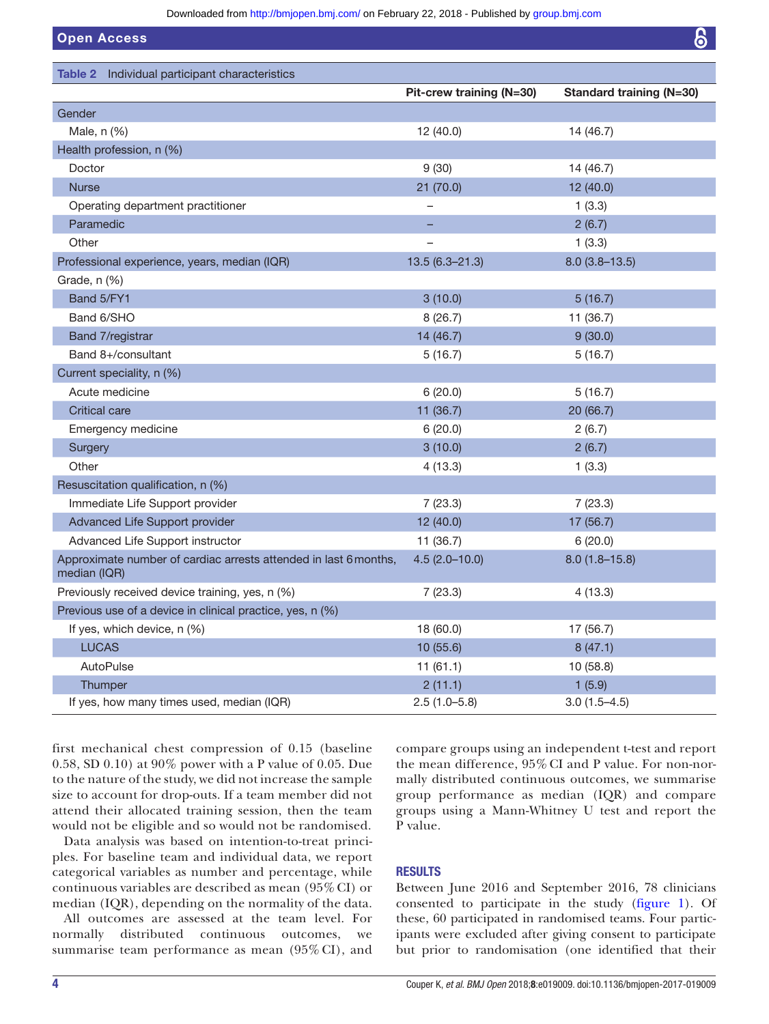| <b>Post and Contract</b>                                                         |                          | ଁ                               |
|----------------------------------------------------------------------------------|--------------------------|---------------------------------|
| <b>Table 2</b> Individual participant characteristics                            |                          |                                 |
|                                                                                  | Pit-crew training (N=30) | <b>Standard training (N=30)</b> |
| Gender                                                                           |                          |                                 |
| Male, n (%)                                                                      | 12 (40.0)                | 14 (46.7)                       |
| Health profession, n (%)                                                         |                          |                                 |
| Doctor                                                                           | 9(30)                    | 14 (46.7)                       |
| <b>Nurse</b>                                                                     | 21(70.0)                 | 12 (40.0)                       |
| Operating department practitioner                                                |                          | 1(3.3)                          |
| Paramedic                                                                        |                          | 2(6.7)                          |
| Other                                                                            |                          | 1(3.3)                          |
| Professional experience, years, median (IQR)                                     | $13.5(6.3 - 21.3)$       | $8.0(3.8-13.5)$                 |
| Grade, n (%)                                                                     |                          |                                 |
| Band 5/FY1                                                                       | 3(10.0)                  | 5(16.7)                         |
| Band 6/SHO                                                                       | 8(26.7)                  | 11 (36.7)                       |
| Band 7/registrar                                                                 | 14 (46.7)                | 9(30.0)                         |
| Band 8+/consultant                                                               | 5(16.7)                  | 5 (16.7)                        |
| Current speciality, n (%)                                                        |                          |                                 |
| Acute medicine                                                                   | 6(20.0)                  | 5 (16.7)                        |
| <b>Critical care</b>                                                             | 11(36.7)                 | 20 (66.7)                       |
| Emergency medicine                                                               | 6(20.0)                  | 2(6.7)                          |
| Surgery                                                                          | 3(10.0)                  | 2(6.7)                          |
| Other                                                                            | 4(13.3)                  | 1(3.3)                          |
| Resuscitation qualification, n (%)                                               |                          |                                 |
| Immediate Life Support provider                                                  | 7(23.3)                  | 7(23.3)                         |
| Advanced Life Support provider                                                   | 12 (40.0)                | 17 (56.7)                       |
| Advanced Life Support instructor                                                 | 11 (36.7)                | 6(20.0)                         |
| Approximate number of cardiac arrests attended in last 6 months,<br>median (IQR) | $4.5(2.0 - 10.0)$        | $8.0(1.8 - 15.8)$               |
| Previously received device training, yes, n (%)                                  | 7(23.3)                  | 4 (13.3)                        |
| Previous use of a device in clinical practice, yes, n (%)                        |                          |                                 |
| If yes, which device, n (%)                                                      | 18 (60.0)                | 17 (56.7)                       |
| <b>LUCAS</b>                                                                     | 10(55.6)                 | 8(47.1)                         |
| AutoPulse                                                                        | 11(61.1)                 | 10 (58.8)                       |
| Thumper                                                                          | 2(11.1)                  | 1(5.9)                          |
| If yes, how many times used, median (IQR)                                        | $2.5(1.0-5.8)$           | $3.0(1.5-4.5)$                  |
|                                                                                  |                          |                                 |

first mechanical chest compression of 0.15 (baseline 0.58, SD 0.10) at 90% power with a P value of 0.05. Due to the nature of the study, we did not increase the sample size to account for drop-outs. If a team member did not attend their allocated training session, then the team would not be eligible and so would not be randomised.

Data analysis was based on intention-to-treat principles. For baseline team and individual data, we report categorical variables as number and percentage, while continuous variables are described as mean (95% CI) or median (IQR), depending on the normality of the data.

All outcomes are assessed at the team level. For normally distributed continuous outcomes, we summarise team performance as mean (95% CI), and compare groups using an independent t-test and report the mean difference, 95% CI and P value. For non-normally distributed continuous outcomes, we summarise group performance as median (IQR) and compare groups using a Mann-Whitney U test and report the P value.

# **RESULTS**

Between June 2016 and September 2016, 78 clinicians consented to participate in the study [\(figure](#page-3-0) 1). Of these, 60 participated in randomised teams. Four participants were excluded after giving consent to participate but prior to randomisation (one identified that their

Open Access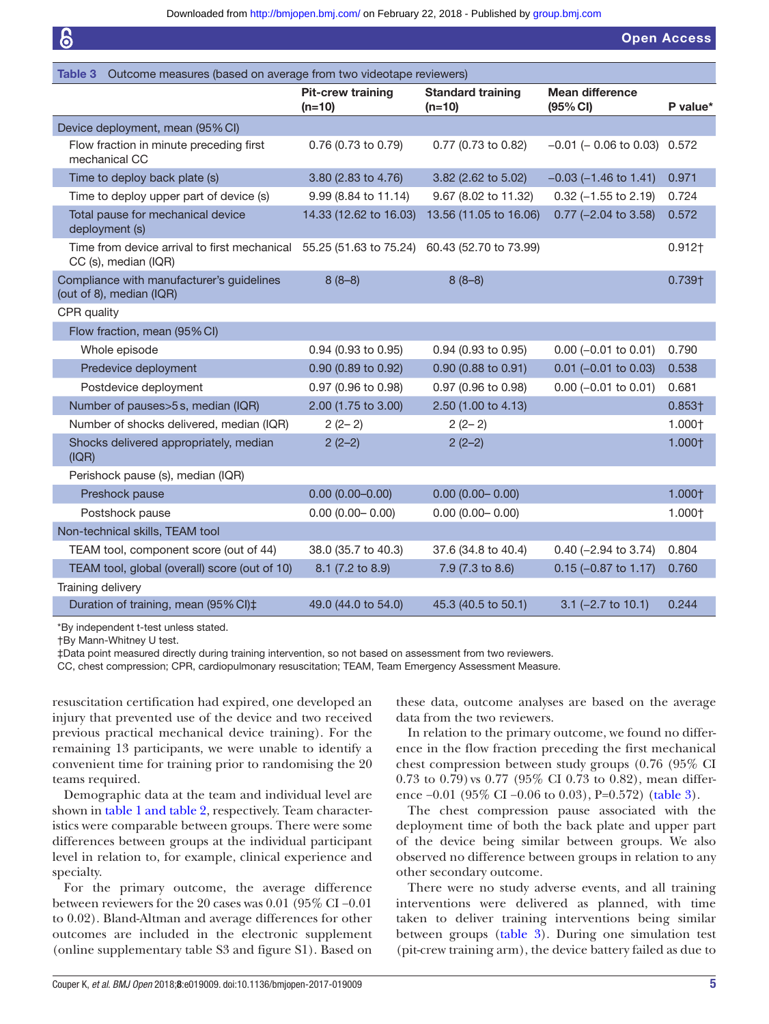Open Access

<span id="page-5-0"></span>

| <b>Pit-crew training</b><br><b>Standard training</b><br>Mean difference<br>$(n=10)$<br>(95% CI)<br>$(n=10)$<br>Device deployment, mean (95% CI) | P value*           |
|-------------------------------------------------------------------------------------------------------------------------------------------------|--------------------|
|                                                                                                                                                 |                    |
|                                                                                                                                                 |                    |
| Flow fraction in minute preceding first<br>0.76 (0.73 to 0.79)<br>0.77 (0.73 to 0.82)<br>$-0.01$ ( $-0.06$ to 0.03) 0.572<br>mechanical CC      |                    |
| Time to deploy back plate (s)<br>3.80 (2.83 to 4.76)<br>3.82 (2.62 to 5.02)<br>$-0.03$ ( $-1.46$ to 1.41)<br>0.971                              |                    |
| Time to deploy upper part of device (s)<br>9.99 (8.84 to 11.14)<br>9.67 (8.02 to 11.32)<br>$0.32$ (-1.55 to 2.19)                               | 0.724              |
| Total pause for mechanical device<br>14.33 (12.62 to 16.03)<br>13.56 (11.05 to 16.06)<br>$0.77$ (-2.04 to 3.58)<br>deployment (s)               | 0.572              |
| Time from device arrival to first mechanical 55.25 (51.63 to 75.24)<br>60.43 (52.70 to 73.99)<br>CC (s), median (IQR)                           | $0.912+$           |
| Compliance with manufacturer's guidelines<br>$8(8-8)$<br>$8(8-8)$<br>(out of 8), median (IQR)                                                   | $0.739+$           |
| CPR quality                                                                                                                                     |                    |
| Flow fraction, mean (95% CI)                                                                                                                    |                    |
| Whole episode<br>0.94 (0.93 to 0.95)<br>0.94 (0.93 to 0.95)<br>$0.00$ (-0.01 to 0.01)                                                           | 0.790              |
| Predevice deployment<br>0.90 (0.89 to 0.92)<br>0.90 (0.88 to 0.91)<br>$0.01$ (-0.01 to 0.03)                                                    | 0.538              |
| Postdevice deployment<br>0.97 (0.96 to 0.98)<br>$0.00$ (-0.01 to 0.01)<br>0.97 (0.96 to 0.98)                                                   | 0.681              |
| Number of pauses>5s, median (IQR)<br>2.00 (1.75 to 3.00)<br>2.50 (1.00 to 4.13)                                                                 | 0.853 <sub>†</sub> |
| Number of shocks delivered, median (IQR)<br>$2(2-2)$<br>$2(2-2)$                                                                                | 1.000+             |
| Shocks delivered appropriately, median<br>$2(2-2)$<br>$2(2-2)$<br>(IQR)                                                                         | 1.000 <sub>†</sub> |
| Perishock pause (s), median (IQR)                                                                                                               |                    |
| $0.00(0.00 - 0.00)$<br>$0.00(0.00 - 0.00)$<br>Preshock pause                                                                                    | 1.000 <sub>†</sub> |
| $0.00$ $(0.00 - 0.00)$<br>$0.00$ $(0.00 - 0.00)$<br>Postshock pause                                                                             | 1.000+             |
| Non-technical skills, TEAM tool                                                                                                                 |                    |
| TEAM tool, component score (out of 44)<br>38.0 (35.7 to 40.3)<br>37.6 (34.8 to 40.4)<br>$0.40$ (-2.94 to 3.74)                                  | 0.804              |
| TEAM tool, global (overall) score (out of 10)<br>8.1 (7.2 to 8.9)<br>$0.15$ (-0.87 to 1.17)<br>7.9 (7.3 to 8.6)                                 | 0.760              |
| Training delivery                                                                                                                               |                    |
| Duration of training, mean (95% CI)‡<br>49.0 (44.0 to 54.0)<br>45.3 (40.5 to 50.1)<br>$3.1$ (-2.7 to 10.1)                                      | 0.244              |

\*By independent t-test unless stated.

†By Mann-Whitney U test.

‡Data point measured directly during training intervention, so not based on assessment from two reviewers.

CC, chest compression; CPR, cardiopulmonary resuscitation; TEAM, Team Emergency Assessment Measure.

resuscitation certification had expired, one developed an injury that prevented use of the device and two received previous practical mechanical device training). For the remaining 13 participants, we were unable to identify a convenient time for training prior to randomising the 20 teams required.

Demographic data at the team and individual level are shown in table [1 and table](#page-3-1) 2, respectively. Team characteristics were comparable between groups. There were some differences between groups at the individual participant level in relation to, for example, clinical experience and specialty.

For the primary outcome, the average difference between reviewers for the 20 cases was 0.01 (95% CI −0.01 to 0.02). Bland-Altman and average differences for other outcomes are included in the electronic supplement (online [supplementary table S3 and figure S1\)](https://dx.doi.org/10.1136/bmjopen-2017-019009). Based on these data, outcome analyses are based on the average data from the two reviewers.

In relation to the primary outcome, we found no difference in the flow fraction preceding the first mechanical chest compression between study groups (0.76 (95% CI 0.73 to 0.79) vs 0.77 (95% CI 0.73 to 0.82), mean differ-ence −0.01 (95% CI −0.06 to 0.03), P=0.572) [\(table](#page-5-0) 3).

The chest compression pause associated with the deployment time of both the back plate and upper part of the device being similar between groups. We also observed no difference between groups in relation to any other secondary outcome.

There were no study adverse events, and all training interventions were delivered as planned, with time taken to deliver training interventions being similar between groups [\(table](#page-5-0) 3). During one simulation test (pit-crew training arm), the device battery failed as due to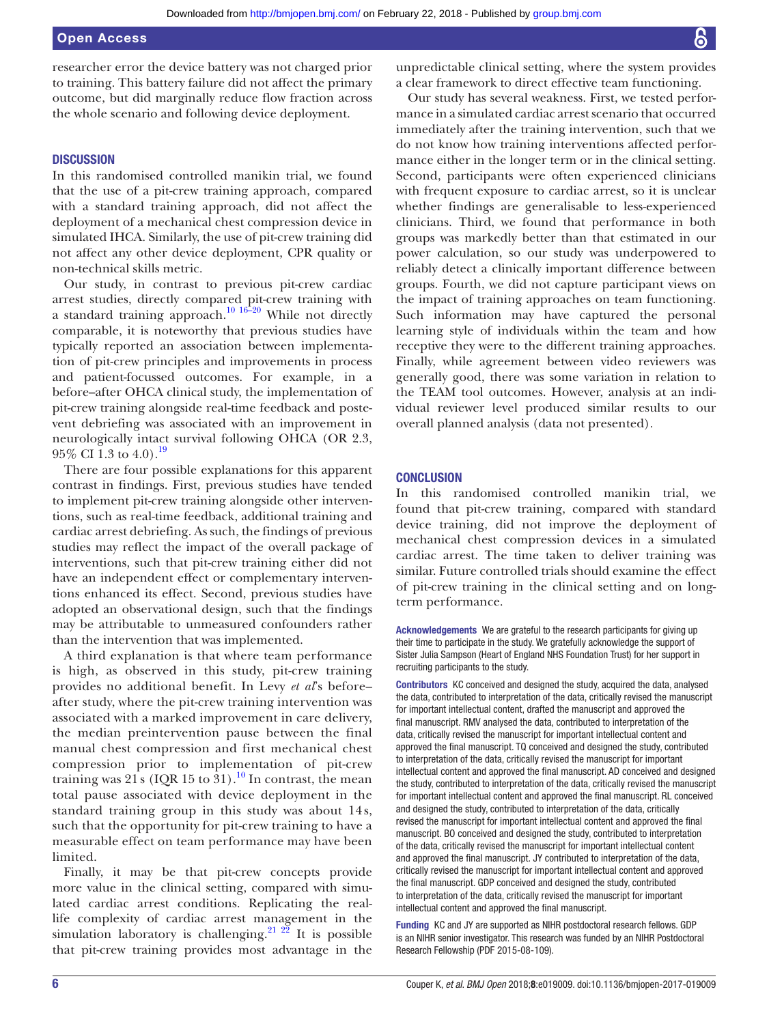researcher error the device battery was not charged prior to training. This battery failure did not affect the primary outcome, but did marginally reduce flow fraction across the whole scenario and following device deployment.

#### **DISCUSSION**

In this randomised controlled manikin trial, we found that the use of a pit-crew training approach, compared with a standard training approach, did not affect the deployment of a mechanical chest compression device in simulated IHCA. Similarly, the use of pit-crew training did not affect any other device deployment, CPR quality or non-technical skills metric.

Our study, in contrast to previous pit-crew cardiac arrest studies, directly compared pit-crew training with a standard training approach.<sup>10 16–20</sup> While not directly comparable, it is noteworthy that previous studies have typically reported an association between implementation of pit-crew principles and improvements in process and patient-focussed outcomes. For example, in a before–after OHCA clinical study, the implementation of pit-crew training alongside real-time feedback and postevent debriefing was associated with an improvement in neurologically intact survival following OHCA (OR 2.3,  $95\%$  CI 1.3 to 4.0).<sup>19</sup>

There are four possible explanations for this apparent contrast in findings. First, previous studies have tended to implement pit-crew training alongside other interventions, such as real-time feedback, additional training and cardiac arrest debriefing. As such, the findings of previous studies may reflect the impact of the overall package of interventions, such that pit-crew training either did not have an independent effect or complementary interventions enhanced its effect. Second, previous studies have adopted an observational design, such that the findings may be attributable to unmeasured confounders rather than the intervention that was implemented.

A third explanation is that where team performance is high, as observed in this study, pit-crew training provides no additional benefit. In Levy *et al*'s before– after study, where the pit-crew training intervention was associated with a marked improvement in care delivery, the median preintervention pause between the final manual chest compression and first mechanical chest compression prior to implementation of pit-crew training was  $21 s$  (IQR 15 to  $31$ ).<sup>[10](#page-7-6)</sup> In contrast, the mean total pause associated with device deployment in the standard training group in this study was about 14s, such that the opportunity for pit-crew training to have a measurable effect on team performance may have been limited.

Finally, it may be that pit-crew concepts provide more value in the clinical setting, compared with simulated cardiac arrest conditions. Replicating the reallife complexity of cardiac arrest management in the simulation laboratory is challenging.<sup>21</sup>  $^{22}$  It is possible that pit-crew training provides most advantage in the

unpredictable clinical setting, where the system provides a clear framework to direct effective team functioning.

Our study has several weakness. First, we tested performance in a simulated cardiac arrest scenario that occurred immediately after the training intervention, such that we do not know how training interventions affected performance either in the longer term or in the clinical setting. Second, participants were often experienced clinicians with frequent exposure to cardiac arrest, so it is unclear whether findings are generalisable to less-experienced clinicians. Third, we found that performance in both groups was markedly better than that estimated in our power calculation, so our study was underpowered to reliably detect a clinically important difference between groups. Fourth, we did not capture participant views on the impact of training approaches on team functioning. Such information may have captured the personal learning style of individuals within the team and how receptive they were to the different training approaches. Finally, while agreement between video reviewers was generally good, there was some variation in relation to the TEAM tool outcomes. However, analysis at an individual reviewer level produced similar results to our overall planned analysis (data not presented).

### **CONCLUSION**

In this randomised controlled manikin trial, we found that pit-crew training, compared with standard device training, did not improve the deployment of mechanical chest compression devices in a simulated cardiac arrest. The time taken to deliver training was similar. Future controlled trials should examine the effect of pit-crew training in the clinical setting and on longterm performance.

Acknowledgements We are grateful to the research participants for giving up their time to participate in the study. We gratefully acknowledge the support of Sister Julia Sampson (Heart of England NHS Foundation Trust) for her support in recruiting participants to the study.

Contributors KC conceived and designed the study, acquired the data, analysed the data, contributed to interpretation of the data, critically revised the manuscript for important intellectual content, drafted the manuscript and approved the final manuscript. RMV analysed the data, contributed to interpretation of the data, critically revised the manuscript for important intellectual content and approved the final manuscript. TQ conceived and designed the study, contributed to interpretation of the data, critically revised the manuscript for important intellectual content and approved the final manuscript. AD conceived and designed the study, contributed to interpretation of the data, critically revised the manuscript for important intellectual content and approved the final manuscript. RL conceived and designed the study, contributed to interpretation of the data, critically revised the manuscript for important intellectual content and approved the final manuscript. BO conceived and designed the study, contributed to interpretation of the data, critically revised the manuscript for important intellectual content and approved the final manuscript. JY contributed to interpretation of the data, critically revised the manuscript for important intellectual content and approved the final manuscript. GDP conceived and designed the study, contributed to interpretation of the data, critically revised the manuscript for important intellectual content and approved the final manuscript.

Funding KC and JY are supported as NIHR postdoctoral research fellows. GDP is an NIHR senior investigator. This research was funded by an NIHR Postdoctoral Research Fellowship (PDF 2015-08-109).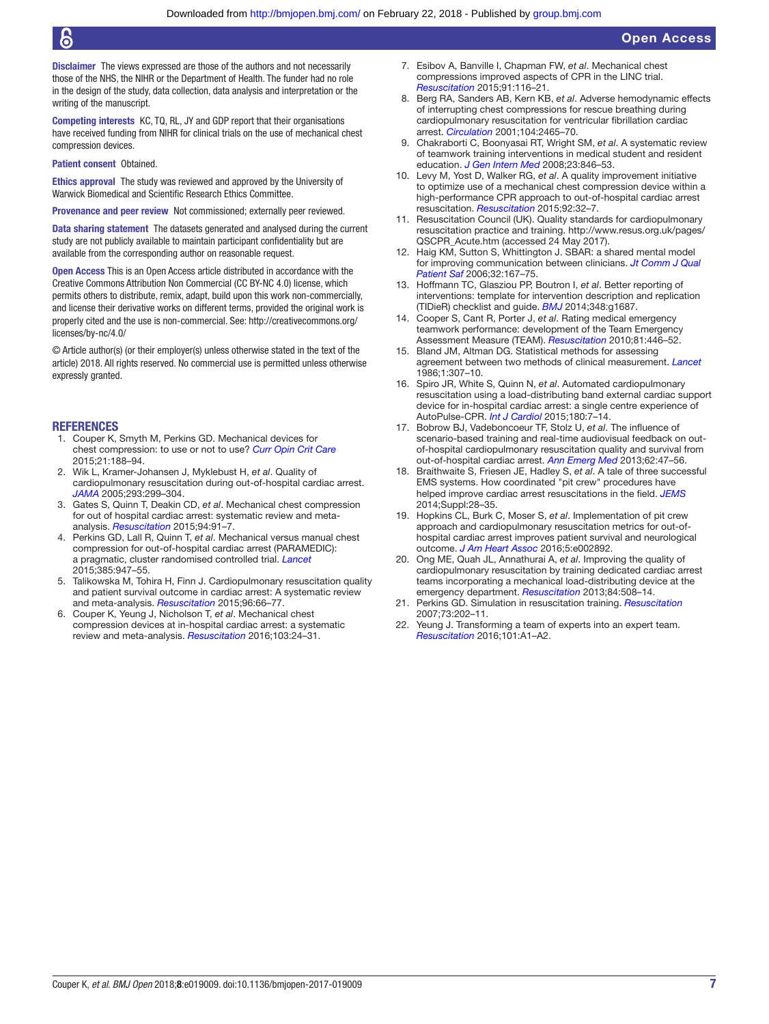Disclaimer The views expressed are those of the authors and not necessarily those of the NHS, the NIHR or the Department of Health. The funder had no role in the design of the study, data collection, data analysis and interpretation or the writing of the manuscript.

Competing interests KC, TQ, RL, JY and GDP report that their organisations have received funding from NIHR for clinical trials on the use of mechanical chest compression devices.

#### Patient consent Obtained.

Ethics approval The study was reviewed and approved by the University of Warwick Biomedical and Scientific Research Ethics Committee.

Provenance and peer review Not commissioned; externally peer reviewed.

Data sharing statement The datasets generated and analysed during the current study are not publicly available to maintain participant confidentiality but are available from the corresponding author on reasonable request.

Open Access This is an Open Access article distributed in accordance with the Creative Commons Attribution Non Commercial (CC BY-NC 4.0) license, which permits others to distribute, remix, adapt, build upon this work non-commercially, and license their derivative works on different terms, provided the original work is properly cited and the use is non-commercial. See: [http://creativecommons.org/](http://creativecommons.org/licenses/by-nc/4.0/) [licenses/by-nc/4.0/](http://creativecommons.org/licenses/by-nc/4.0/)

© Article author(s) (or their employer(s) unless otherwise stated in the text of the article) 2018. All rights reserved. No commercial use is permitted unless otherwise expressly granted.

#### **REFERENCES**

- <span id="page-7-0"></span>1. Couper K, Smyth M, Perkins GD. Mechanical devices for chest compression: to use or not to use? *[Curr Opin Crit Care](http://dx.doi.org/10.1097/MCC.0000000000000200)* 2015;21:188–94.
- <span id="page-7-1"></span>2. Wik L, Kramer-Johansen J, Myklebust H, *et al*. Quality of cardiopulmonary resuscitation during out-of-hospital cardiac arrest. *[JAMA](http://dx.doi.org/10.1001/jama.293.3.299)* 2005;293:299–304.
- 3. Gates S, Quinn T, Deakin CD, *et al*. Mechanical chest compression for out of hospital cardiac arrest: systematic review and metaanalysis. *[Resuscitation](http://dx.doi.org/10.1016/j.resuscitation.2015.07.002)* 2015;94:91–7.
- 4. Perkins GD, Lall R, Quinn T, *et al*. Mechanical versus manual chest compression for out-of-hospital cardiac arrest (PARAMEDIC): a pragmatic, cluster randomised controlled trial. *[Lancet](http://dx.doi.org/10.1016/S0140-6736(14)61886-9)* 2015;385:947–55.
- 5. Talikowska M, Tohira H, Finn J. Cardiopulmonary resuscitation quality and patient survival outcome in cardiac arrest: A systematic review and meta-analysis. *[Resuscitation](http://dx.doi.org/10.1016/j.resuscitation.2015.07.036)* 2015;96:66–77.
- <span id="page-7-2"></span>6. Couper K, Yeung J, Nicholson T, *et al*. Mechanical chest compression devices at in-hospital cardiac arrest: a systematic review and meta-analysis. *[Resuscitation](http://dx.doi.org/10.1016/j.resuscitation.2016.03.004)* 2016;103:24–31.
- <span id="page-7-3"></span>7. Esibov A, Banville I, Chapman FW, *et al*. Mechanical chest compressions improved aspects of CPR in the LINC trial. *[Resuscitation](http://dx.doi.org/10.1016/j.resuscitation.2015.02.028)* 2015;91:116–21.
- <span id="page-7-4"></span>8. Berg RA, Sanders AB, Kern KB, *et al*. Adverse hemodynamic effects of interrupting chest compressions for rescue breathing during cardiopulmonary resuscitation for ventricular fibrillation cardiac arrest. *[Circulation](http://dx.doi.org/10.1161/hc4501.098926)* 2001;104:2465–70.
- <span id="page-7-5"></span>9. Chakraborti C, Boonyasai RT, Wright SM, *et al*. A systematic review of teamwork training interventions in medical student and resident education. *[J Gen Intern Med](http://dx.doi.org/10.1007/s11606-008-0600-6)* 2008;23:846–53.
- <span id="page-7-6"></span>10. Levy M, Yost D, Walker RG, *et al*. A quality improvement initiative to optimize use of a mechanical chest compression device within a high-performance CPR approach to out-of-hospital cardiac arrest resuscitation. *[Resuscitation](http://dx.doi.org/10.1016/j.resuscitation.2015.04.005)* 2015;92:32–7.
- <span id="page-7-7"></span>11. Resuscitation Council (UK). Quality standards for cardiopulmonary resuscitation practice and training. [http://www.resus.org.uk/pages/](http://www.resus.org.uk/pages/QSCPR_Acute.htm) [QSCPR\\_Acute.htm](http://www.resus.org.uk/pages/QSCPR_Acute.htm) (accessed 24 May 2017).
- <span id="page-7-8"></span>12. Haig KM, Sutton S, Whittington J. SBAR: a shared mental model for improving communication between clinicians. *[Jt Comm J Qual](http://dx.doi.org/10.1016/S1553-7250(06)32022-3)  [Patient Saf](http://dx.doi.org/10.1016/S1553-7250(06)32022-3)* 2006;32:167–75.
- <span id="page-7-9"></span>13. Hoffmann TC, Glasziou PP, Boutron I, *et al*. Better reporting of interventions: template for intervention description and replication (TIDieR) checklist and guide. *[BMJ](http://dx.doi.org/10.1136/bmj.g1687)* 2014;348:g1687.
- <span id="page-7-10"></span>14. Cooper S, Cant R, Porter J, *et al*. Rating medical emergency teamwork performance: development of the Team Emergency Assessment Measure (TEAM). *[Resuscitation](http://dx.doi.org/10.1016/j.resuscitation.2009.11.027)* 2010;81:446–52.
- <span id="page-7-11"></span>15. Bland JM, Altman DG. Statistical methods for assessing agreement between two methods of clinical measurement. *[Lancet](http://dx.doi.org/10.1016/S0140-6736(86)90837-8)* 1986;1:307–10.
- 16. Spiro JR, White S, Quinn N, *et al*. Automated cardiopulmonary resuscitation using a load-distributing band external cardiac support device for in-hospital cardiac arrest: a single centre experience of AutoPulse-CPR. *[Int J Cardiol](http://dx.doi.org/10.1016/j.ijcard.2014.11.109)* 2015;180:7–14.
- 17. Bobrow BJ, Vadeboncoeur TF, Stolz U, *et al*. The influence of scenario-based training and real-time audiovisual feedback on outof-hospital cardiopulmonary resuscitation quality and survival from out-of-hospital cardiac arrest. *[Ann Emerg Med](http://dx.doi.org/10.1016/j.annemergmed.2012.12.020)* 2013;62:47–56.
- 18. Braithwaite S, Friesen JE, Hadley S, *et al*. A tale of three successful EMS systems. How coordinated "pit crew" procedures have helped improve cardiac arrest resuscitations in the field. *[JEMS](http://www.ncbi.nlm.nih.gov/pubmed/25622469)* 2014;Suppl:28–35.
- <span id="page-7-12"></span>19. Hopkins CL, Burk C, Moser S, *et al*. Implementation of pit crew approach and cardiopulmonary resuscitation metrics for out-ofhospital cardiac arrest improves patient survival and neurological outcome. *[J Am Heart Assoc](http://dx.doi.org/10.1161/JAHA.115.002892)* 2016;5:e002892.
- 20. Ong ME, Quah JL, Annathurai A, *et al*. Improving the quality of cardiopulmonary resuscitation by training dedicated cardiac arrest teams incorporating a mechanical load-distributing device at the emergency department. *[Resuscitation](http://dx.doi.org/10.1016/j.resuscitation.2012.07.033)* 2013;84:508–14.
- <span id="page-7-13"></span>21. Perkins GD. Simulation in resuscitation training. *[Resuscitation](http://dx.doi.org/10.1016/j.resuscitation.2007.01.005)* 2007;73:202–11.
- 22. Yeung J. Transforming a team of experts into an expert team. *[Resuscitation](http://dx.doi.org/10.1016/j.resuscitation.2016.02.001)* 2016;101:A1–A2.